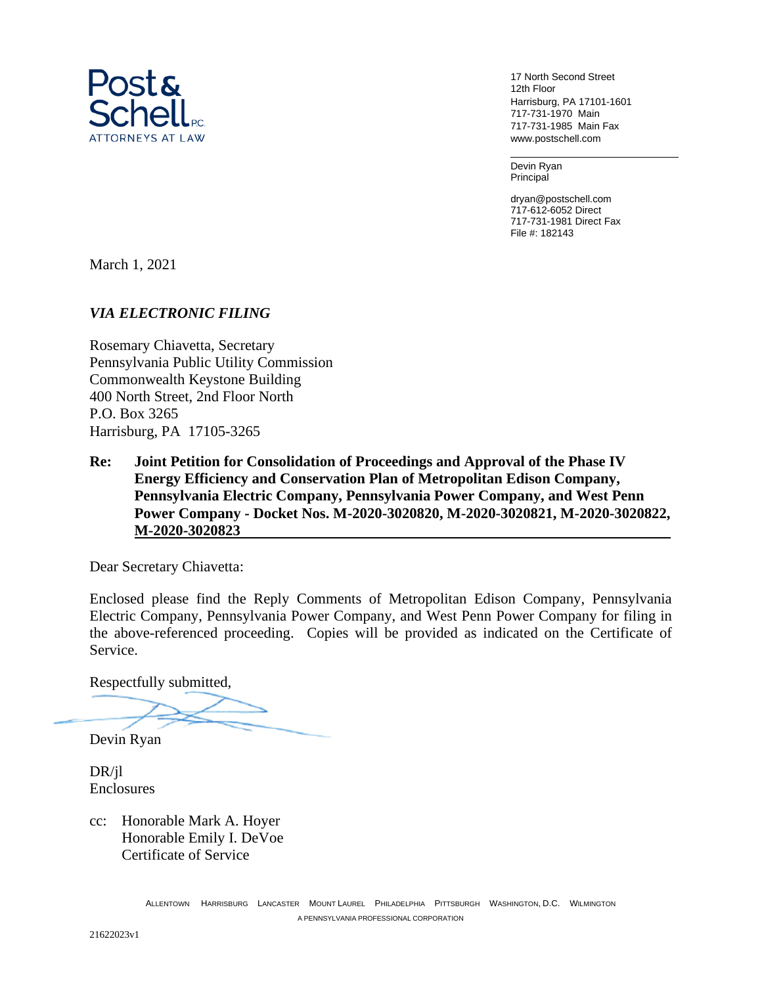

17 North Second Street 12th Floor Harrisburg, PA 17101-1601 717-731-1970 Main 717-731-1985 Main Fax www.postschell.com

Devin Ryan Principal

dryan@postschell.com 717-612-6052 Direct 717-731-1981 Direct Fax File #: 182143

March 1, 2021

# *VIA ELECTRONIC FILING*

Rosemary Chiavetta, Secretary Pennsylvania Public Utility Commission Commonwealth Keystone Building 400 North Street, 2nd Floor North P.O. Box 3265 Harrisburg, PA 17105-3265

**Re: Joint Petition for Consolidation of Proceedings and Approval of the Phase IV Energy Efficiency and Conservation Plan of Metropolitan Edison Company, Pennsylvania Electric Company, Pennsylvania Power Company, and West Penn Power Company - Docket Nos. M-2020-3020820, M-2020-3020821, M-2020-3020822, M-2020-3020823** 

Dear Secretary Chiavetta:

Enclosed please find the Reply Comments of Metropolitan Edison Company, Pennsylvania Electric Company, Pennsylvania Power Company, and West Penn Power Company for filing in the above-referenced proceeding. Copies will be provided as indicated on the Certificate of Service.

Respectfully submitted,

Devin Ryan

DR/jl Enclosures

cc: Honorable Mark A. Hoyer Honorable Emily I. DeVoe Certificate of Service

21622023v1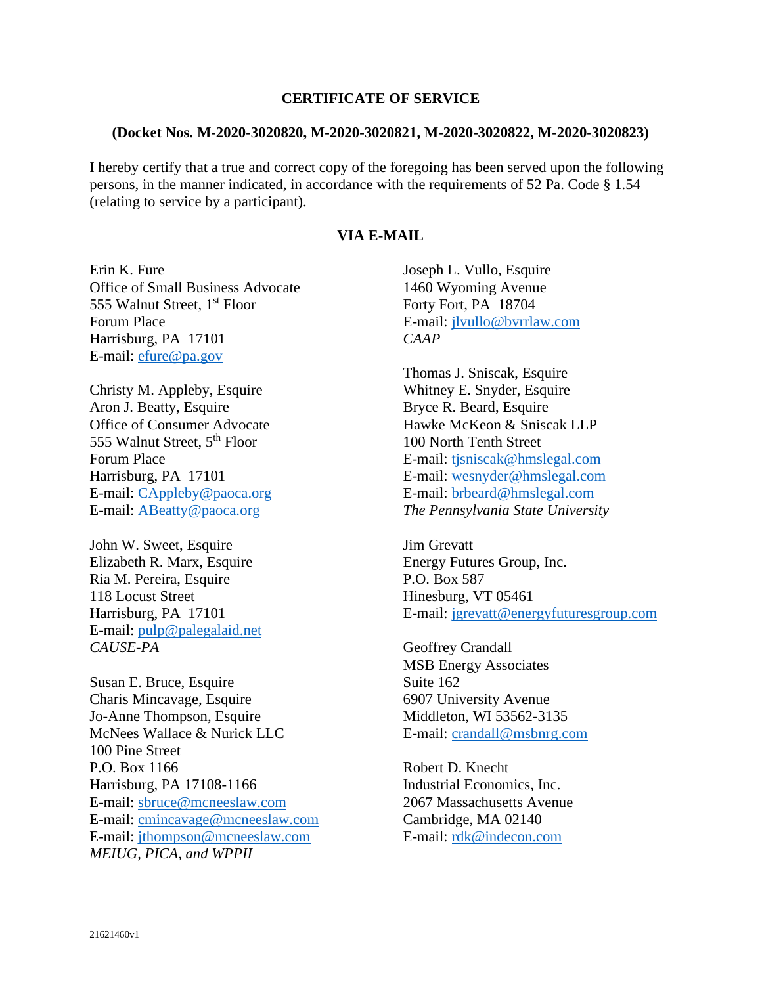## **CERTIFICATE OF SERVICE**

#### **(Docket Nos. M-2020-3020820, M-2020-3020821, M-2020-3020822, M-2020-3020823)**

I hereby certify that a true and correct copy of the foregoing has been served upon the following persons, in the manner indicated, in accordance with the requirements of 52 Pa. Code § 1.54 (relating to service by a participant).

## **VIA E-MAIL**

Erin K. Fure Office of Small Business Advocate 555 Walnut Street, 1<sup>st</sup> Floor Forum Place Harrisburg, PA 17101 E-mail: efure@pa.gov

Christy M. Appleby, Esquire Aron J. Beatty, Esquire Office of Consumer Advocate 555 Walnut Street, 5th Floor Forum Place Harrisburg, PA 17101 E-mail: CAppleby@paoca.org E-mail: ABeatty@paoca.org

John W. Sweet, Esquire Elizabeth R. Marx, Esquire Ria M. Pereira, Esquire 118 Locust Street Harrisburg, PA 17101 E-mail: pulp@palegalaid.net *CAUSE-PA* 

Susan E. Bruce, Esquire Charis Mincavage, Esquire Jo-Anne Thompson, Esquire McNees Wallace & Nurick LLC 100 Pine Street P.O. Box 1166 Harrisburg, PA 17108-1166 E-mail: sbruce@mcneeslaw.com E-mail: cmincavage@mcneeslaw.com E-mail: jthompson@mcneeslaw.com *MEIUG, PICA, and WPPII* 

Joseph L. Vullo, Esquire 1460 Wyoming Avenue Forty Fort, PA 18704 E-mail: jlvullo@bvrrlaw.com *CAAP*

Thomas J. Sniscak, Esquire Whitney E. Snyder, Esquire Bryce R. Beard, Esquire Hawke McKeon & Sniscak LLP 100 North Tenth Street E-mail: tjsniscak@hmslegal.com E-mail: wesnyder@hmslegal.com E-mail: brbeard@hmslegal.com *The Pennsylvania State University*

Jim Grevatt Energy Futures Group, Inc. P.O. Box 587 Hinesburg, VT 05461 E-mail: jgrevatt@energyfuturesgroup.com

Geoffrey Crandall MSB Energy Associates Suite 162 6907 University Avenue Middleton, WI 53562-3135 E-mail: crandall@msbnrg.com

Robert D. Knecht Industrial Economics, Inc. 2067 Massachusetts Avenue Cambridge, MA 02140 E-mail: rdk@indecon.com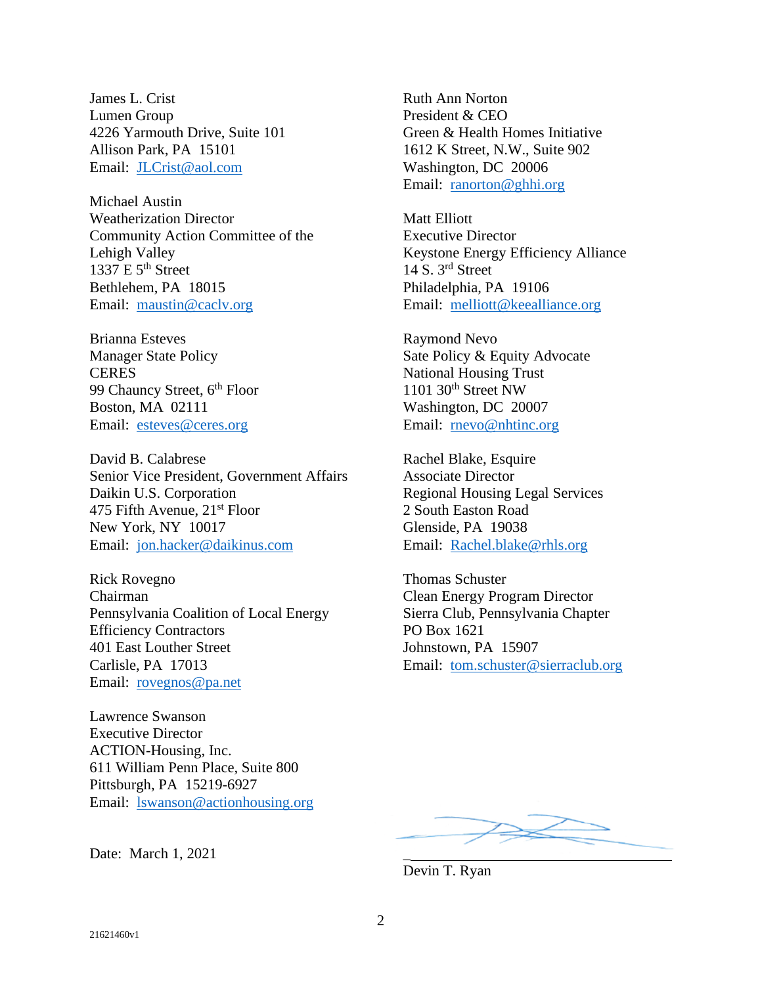James L. Crist Lumen Group 4226 Yarmouth Drive, Suite 101 Allison Park, PA 15101 Email: JLCrist@aol.com

Michael Austin Weatherization Director Community Action Committee of the Lehigh Valley  $1337 \text{ E } 5^{\text{th}}$  Street Bethlehem, PA 18015 Email: maustin@caclv.org

Brianna Esteves Manager State Policy **CERES** 99 Chauncy Street, 6<sup>th</sup> Floor Boston, MA 02111 Email: esteves@ceres.org

David B. Calabrese Senior Vice President, Government Affairs Daikin U.S. Corporation 475 Fifth Avenue,  $21<sup>st</sup>$  Floor New York, NY 10017 Email: jon.hacker@daikinus.com

Rick Rovegno Chairman Pennsylvania Coalition of Local Energy Efficiency Contractors 401 East Louther Street Carlisle, PA 17013 Email: rovegnos@pa.net

Lawrence Swanson Executive Director ACTION-Housing, Inc. 611 William Penn Place, Suite 800 Pittsburgh, PA 15219-6927 Email: lswanson@actionhousing.org

Date: March 1, 2021 \_

Ruth Ann Norton President & CEO Green & Health Homes Initiative 1612 K Street, N.W., Suite 902 Washington, DC 20006 Email: ranorton@ghhi.org

Matt Elliott Executive Director Keystone Energy Efficiency Alliance 14 S. 3rd Street Philadelphia, PA 19106 Email: melliott@keealliance.org

Raymond Nevo Sate Policy & Equity Advocate National Housing Trust  $1101$  30<sup>th</sup> Street NW Washington, DC 20007 Email: rnevo@nhtinc.org

Rachel Blake, Esquire Associate Director Regional Housing Legal Services 2 South Easton Road Glenside, PA 19038 Email: Rachel.blake@rhls.org

Thomas Schuster Clean Energy Program Director Sierra Club, Pennsylvania Chapter PO Box 1621 Johnstown, PA 15907 Email: tom.schuster@sierraclub.org

Devin T. Ryan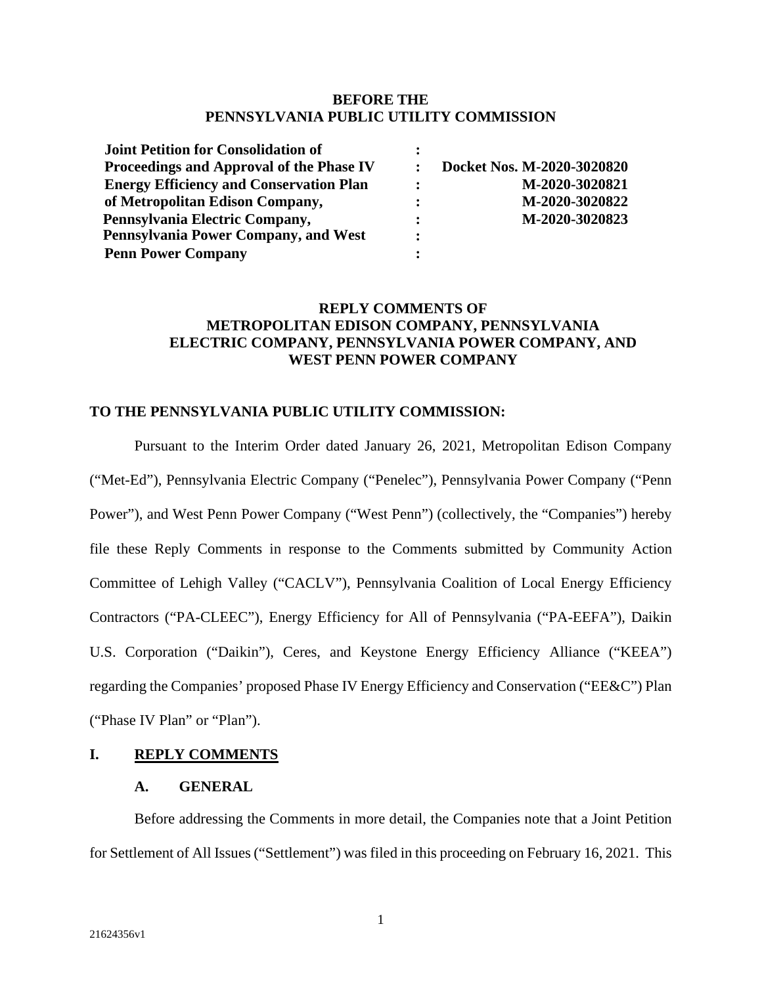### **BEFORE THE PENNSYLVANIA PUBLIC UTILITY COMMISSION**

| <b>Joint Petition for Consolidation of</b>     |                |                            |
|------------------------------------------------|----------------|----------------------------|
| Proceedings and Approval of the Phase IV       |                | Docket Nos. M-2020-3020820 |
| <b>Energy Efficiency and Conservation Plan</b> | $\ddot{\cdot}$ | M-2020-3020821             |
| of Metropolitan Edison Company,                | $\ddot{\cdot}$ | M-2020-3020822             |
| Pennsylvania Electric Company,                 | $\ddot{\cdot}$ | M-2020-3020823             |
| Pennsylvania Power Company, and West           | $\bullet$      |                            |
| <b>Penn Power Company</b>                      |                |                            |

# **REPLY COMMENTS OF METROPOLITAN EDISON COMPANY, PENNSYLVANIA ELECTRIC COMPANY, PENNSYLVANIA POWER COMPANY, AND WEST PENN POWER COMPANY**

## **TO THE PENNSYLVANIA PUBLIC UTILITY COMMISSION:**

Pursuant to the Interim Order dated January 26, 2021, Metropolitan Edison Company ("Met-Ed"), Pennsylvania Electric Company ("Penelec"), Pennsylvania Power Company ("Penn Power"), and West Penn Power Company ("West Penn") (collectively, the "Companies") hereby file these Reply Comments in response to the Comments submitted by Community Action Committee of Lehigh Valley ("CACLV"), Pennsylvania Coalition of Local Energy Efficiency Contractors ("PA-CLEEC"), Energy Efficiency for All of Pennsylvania ("PA-EEFA"), Daikin U.S. Corporation ("Daikin"), Ceres, and Keystone Energy Efficiency Alliance ("KEEA") regarding the Companies' proposed Phase IV Energy Efficiency and Conservation ("EE&C") Plan ("Phase IV Plan" or "Plan").

### **I. REPLY COMMENTS**

# **A. GENERAL**

Before addressing the Comments in more detail, the Companies note that a Joint Petition for Settlement of All Issues ("Settlement") was filed in this proceeding on February 16, 2021. This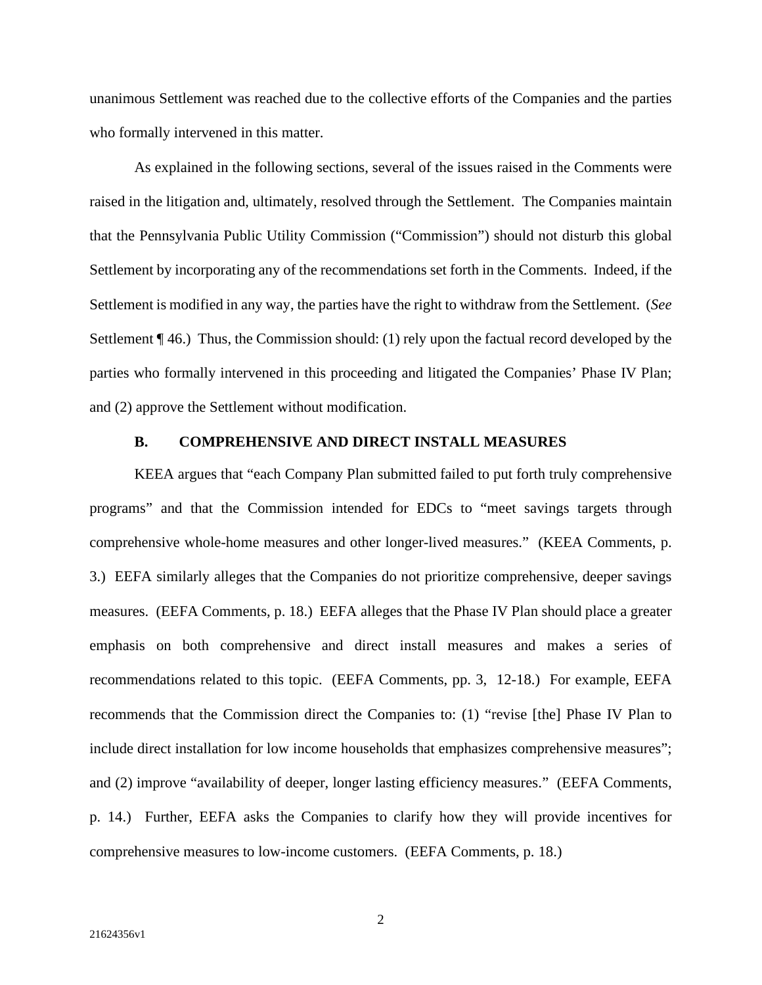unanimous Settlement was reached due to the collective efforts of the Companies and the parties who formally intervened in this matter.

As explained in the following sections, several of the issues raised in the Comments were raised in the litigation and, ultimately, resolved through the Settlement. The Companies maintain that the Pennsylvania Public Utility Commission ("Commission") should not disturb this global Settlement by incorporating any of the recommendations set forth in the Comments. Indeed, if the Settlement is modified in any way, the parties have the right to withdraw from the Settlement. (*See*  Settlement ¶ 46.) Thus, the Commission should: (1) rely upon the factual record developed by the parties who formally intervened in this proceeding and litigated the Companies' Phase IV Plan; and (2) approve the Settlement without modification.

## **B. COMPREHENSIVE AND DIRECT INSTALL MEASURES**

KEEA argues that "each Company Plan submitted failed to put forth truly comprehensive programs" and that the Commission intended for EDCs to "meet savings targets through comprehensive whole-home measures and other longer-lived measures." (KEEA Comments, p. 3.) EEFA similarly alleges that the Companies do not prioritize comprehensive, deeper savings measures. (EEFA Comments, p. 18.) EEFA alleges that the Phase IV Plan should place a greater emphasis on both comprehensive and direct install measures and makes a series of recommendations related to this topic. (EEFA Comments, pp. 3, 12-18.) For example, EEFA recommends that the Commission direct the Companies to: (1) "revise [the] Phase IV Plan to include direct installation for low income households that emphasizes comprehensive measures"; and (2) improve "availability of deeper, longer lasting efficiency measures." (EEFA Comments, p. 14.) Further, EEFA asks the Companies to clarify how they will provide incentives for comprehensive measures to low-income customers. (EEFA Comments, p. 18.)

2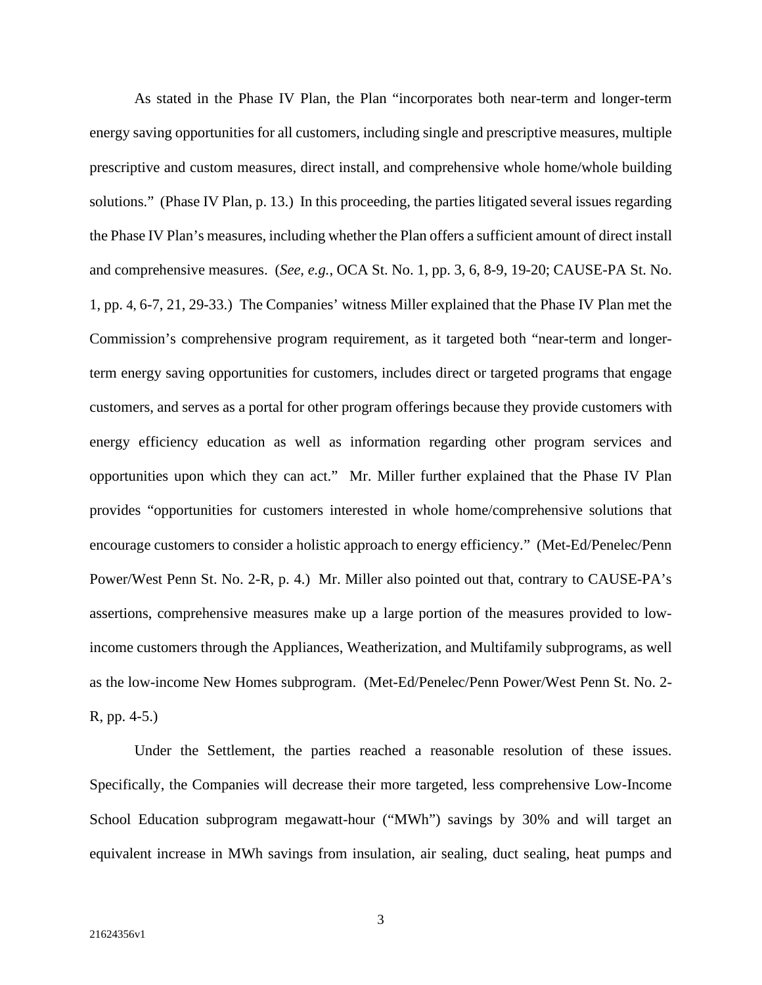As stated in the Phase IV Plan, the Plan "incorporates both near-term and longer-term energy saving opportunities for all customers, including single and prescriptive measures, multiple prescriptive and custom measures, direct install, and comprehensive whole home/whole building solutions." (Phase IV Plan, p. 13.) In this proceeding, the parties litigated several issues regarding the Phase IV Plan's measures, including whether the Plan offers a sufficient amount of direct install and comprehensive measures. (*See, e.g.*, OCA St. No. 1, pp. 3, 6, 8-9, 19-20; CAUSE-PA St. No. 1, pp. 4, 6-7, 21, 29-33.) The Companies' witness Miller explained that the Phase IV Plan met the Commission's comprehensive program requirement, as it targeted both "near-term and longerterm energy saving opportunities for customers, includes direct or targeted programs that engage customers, and serves as a portal for other program offerings because they provide customers with energy efficiency education as well as information regarding other program services and opportunities upon which they can act." Mr. Miller further explained that the Phase IV Plan provides "opportunities for customers interested in whole home/comprehensive solutions that encourage customers to consider a holistic approach to energy efficiency." (Met-Ed/Penelec/Penn Power/West Penn St. No. 2-R, p. 4.) Mr. Miller also pointed out that, contrary to CAUSE-PA's assertions, comprehensive measures make up a large portion of the measures provided to lowincome customers through the Appliances, Weatherization, and Multifamily subprograms, as well as the low-income New Homes subprogram. (Met-Ed/Penelec/Penn Power/West Penn St. No. 2- R, pp. 4-5.)

Under the Settlement, the parties reached a reasonable resolution of these issues. Specifically, the Companies will decrease their more targeted, less comprehensive Low-Income School Education subprogram megawatt-hour ("MWh") savings by 30% and will target an equivalent increase in MWh savings from insulation, air sealing, duct sealing, heat pumps and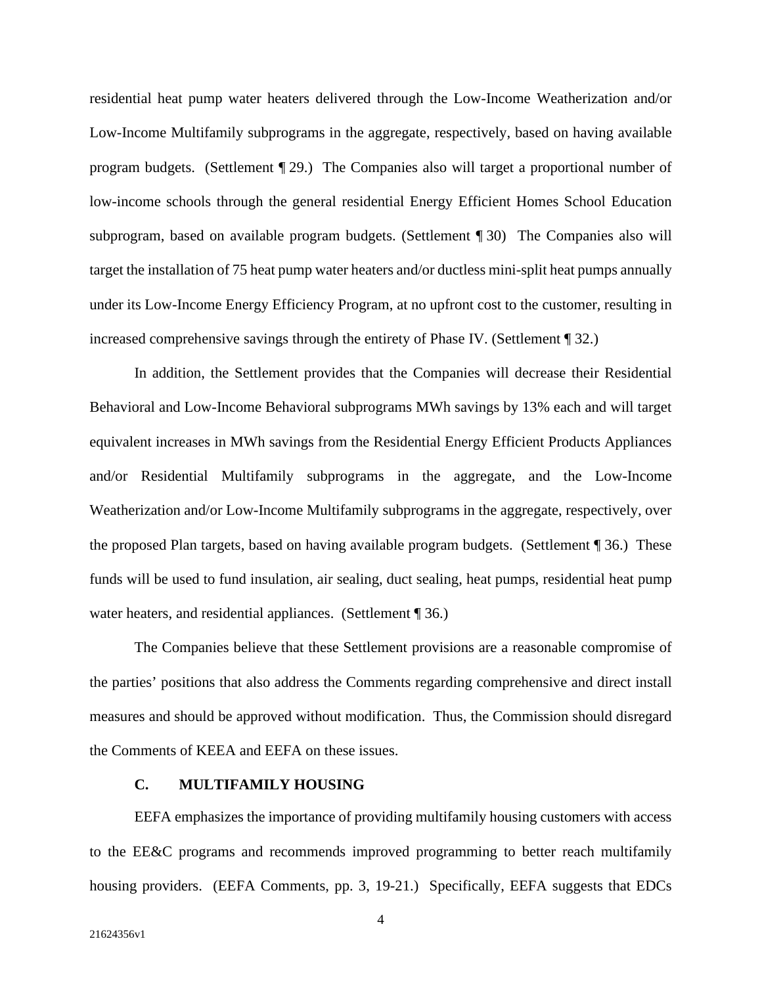residential heat pump water heaters delivered through the Low-Income Weatherization and/or Low-Income Multifamily subprograms in the aggregate, respectively, based on having available program budgets. (Settlement ¶ 29.) The Companies also will target a proportional number of low-income schools through the general residential Energy Efficient Homes School Education subprogram, based on available program budgets. (Settlement ¶ 30) The Companies also will target the installation of 75 heat pump water heaters and/or ductless mini-split heat pumps annually under its Low-Income Energy Efficiency Program, at no upfront cost to the customer, resulting in increased comprehensive savings through the entirety of Phase IV. (Settlement ¶ 32.)

In addition, the Settlement provides that the Companies will decrease their Residential Behavioral and Low-Income Behavioral subprograms MWh savings by 13% each and will target equivalent increases in MWh savings from the Residential Energy Efficient Products Appliances and/or Residential Multifamily subprograms in the aggregate, and the Low-Income Weatherization and/or Low-Income Multifamily subprograms in the aggregate, respectively, over the proposed Plan targets, based on having available program budgets. (Settlement ¶ 36.) These funds will be used to fund insulation, air sealing, duct sealing, heat pumps, residential heat pump water heaters, and residential appliances. (Settlement ¶ 36.)

The Companies believe that these Settlement provisions are a reasonable compromise of the parties' positions that also address the Comments regarding comprehensive and direct install measures and should be approved without modification. Thus, the Commission should disregard the Comments of KEEA and EEFA on these issues.

### **C. MULTIFAMILY HOUSING**

EEFA emphasizes the importance of providing multifamily housing customers with access to the EE&C programs and recommends improved programming to better reach multifamily housing providers. (EEFA Comments, pp. 3, 19-21.) Specifically, EEFA suggests that EDCs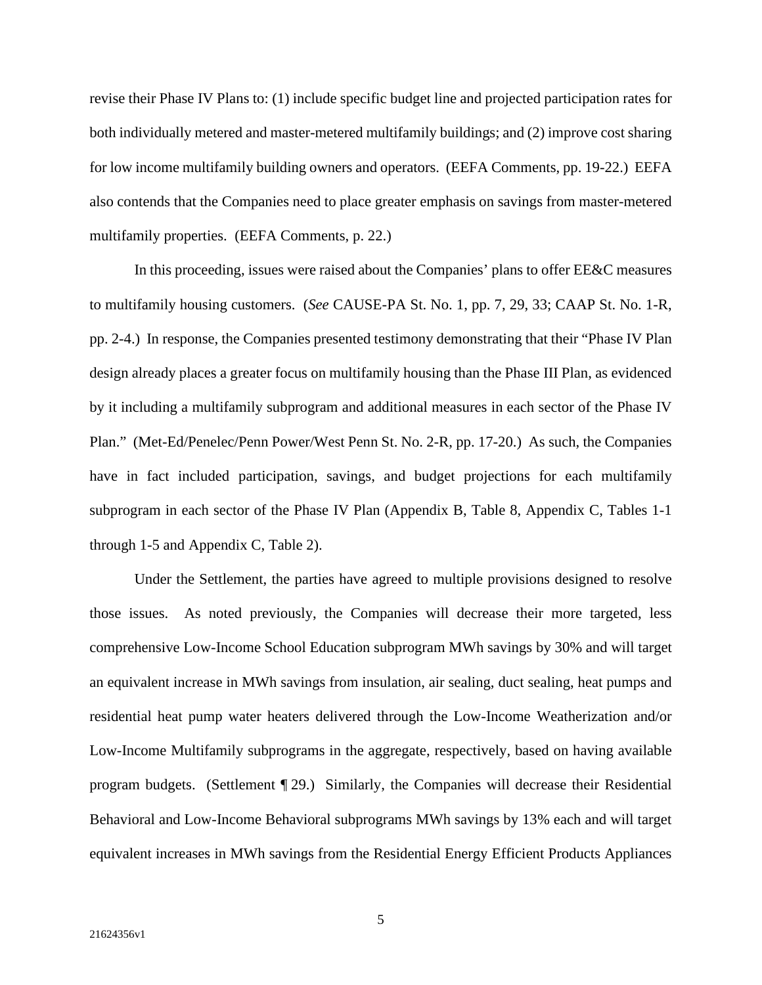revise their Phase IV Plans to: (1) include specific budget line and projected participation rates for both individually metered and master-metered multifamily buildings; and (2) improve cost sharing for low income multifamily building owners and operators. (EEFA Comments, pp. 19-22.) EEFA also contends that the Companies need to place greater emphasis on savings from master-metered multifamily properties. (EEFA Comments, p. 22.)

In this proceeding, issues were raised about the Companies' plans to offer EE&C measures to multifamily housing customers. (*See* CAUSE-PA St. No. 1, pp. 7, 29, 33; CAAP St. No. 1-R, pp. 2-4.) In response, the Companies presented testimony demonstrating that their "Phase IV Plan design already places a greater focus on multifamily housing than the Phase III Plan, as evidenced by it including a multifamily subprogram and additional measures in each sector of the Phase IV Plan." (Met-Ed/Penelec/Penn Power/West Penn St. No. 2-R, pp. 17-20.) As such, the Companies have in fact included participation, savings, and budget projections for each multifamily subprogram in each sector of the Phase IV Plan (Appendix B, Table 8, Appendix C, Tables 1-1 through 1-5 and Appendix C, Table 2).

Under the Settlement, the parties have agreed to multiple provisions designed to resolve those issues. As noted previously, the Companies will decrease their more targeted, less comprehensive Low-Income School Education subprogram MWh savings by 30% and will target an equivalent increase in MWh savings from insulation, air sealing, duct sealing, heat pumps and residential heat pump water heaters delivered through the Low-Income Weatherization and/or Low-Income Multifamily subprograms in the aggregate, respectively, based on having available program budgets. (Settlement ¶ 29.) Similarly, the Companies will decrease their Residential Behavioral and Low-Income Behavioral subprograms MWh savings by 13% each and will target equivalent increases in MWh savings from the Residential Energy Efficient Products Appliances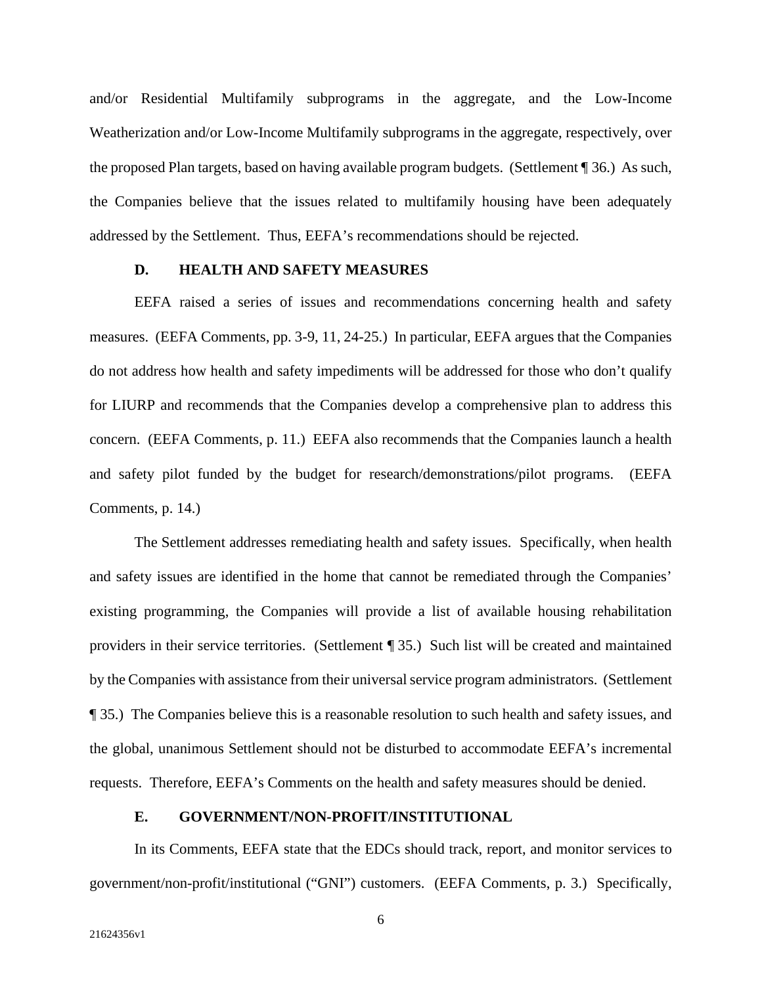and/or Residential Multifamily subprograms in the aggregate, and the Low-Income Weatherization and/or Low-Income Multifamily subprograms in the aggregate, respectively, over the proposed Plan targets, based on having available program budgets. (Settlement ¶ 36.) As such, the Companies believe that the issues related to multifamily housing have been adequately addressed by the Settlement. Thus, EEFA's recommendations should be rejected.

### **D. HEALTH AND SAFETY MEASURES**

EEFA raised a series of issues and recommendations concerning health and safety measures. (EEFA Comments, pp. 3-9, 11, 24-25.) In particular, EEFA argues that the Companies do not address how health and safety impediments will be addressed for those who don't qualify for LIURP and recommends that the Companies develop a comprehensive plan to address this concern. (EEFA Comments, p. 11.) EEFA also recommends that the Companies launch a health and safety pilot funded by the budget for research/demonstrations/pilot programs. (EEFA Comments, p. 14.)

The Settlement addresses remediating health and safety issues. Specifically, when health and safety issues are identified in the home that cannot be remediated through the Companies' existing programming, the Companies will provide a list of available housing rehabilitation providers in their service territories. (Settlement ¶ 35.) Such list will be created and maintained by the Companies with assistance from their universal service program administrators. (Settlement ¶ 35.) The Companies believe this is a reasonable resolution to such health and safety issues, and the global, unanimous Settlement should not be disturbed to accommodate EEFA's incremental requests. Therefore, EEFA's Comments on the health and safety measures should be denied.

# **E. GOVERNMENT/NON-PROFIT/INSTITUTIONAL**

In its Comments, EEFA state that the EDCs should track, report, and monitor services to government/non-profit/institutional ("GNI") customers. (EEFA Comments, p. 3.) Specifically,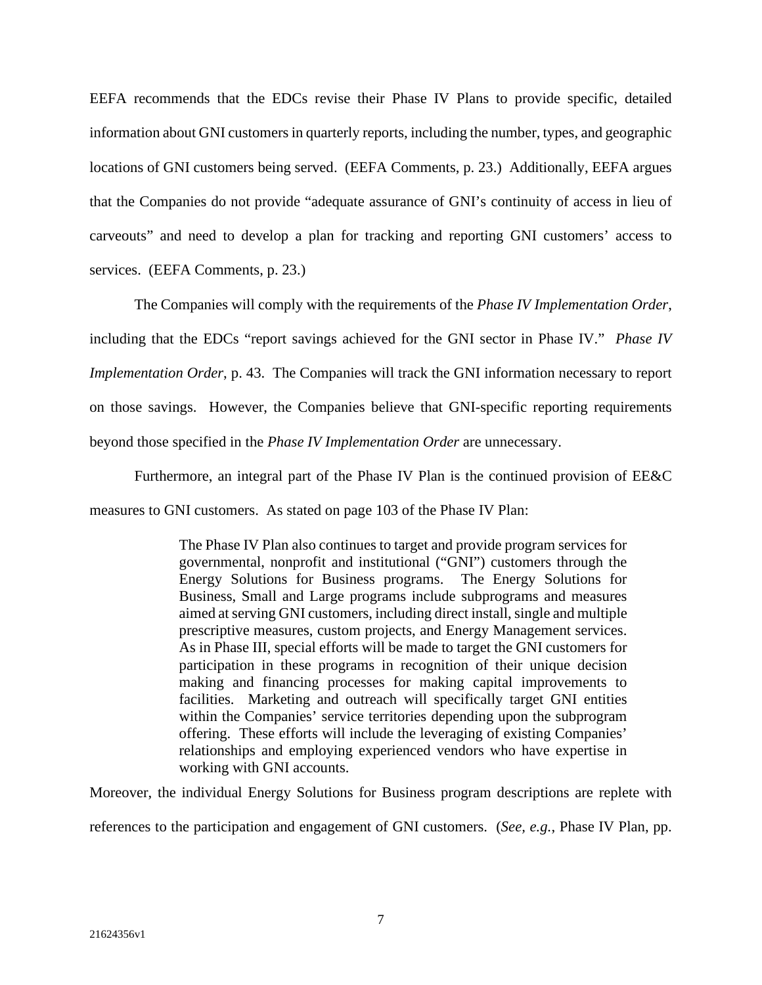EEFA recommends that the EDCs revise their Phase IV Plans to provide specific, detailed information about GNI customers in quarterly reports, including the number, types, and geographic locations of GNI customers being served. (EEFA Comments, p. 23.) Additionally, EEFA argues that the Companies do not provide "adequate assurance of GNI's continuity of access in lieu of carveouts" and need to develop a plan for tracking and reporting GNI customers' access to services. (EEFA Comments, p. 23.)

The Companies will comply with the requirements of the *Phase IV Implementation Order*, including that the EDCs "report savings achieved for the GNI sector in Phase IV." *Phase IV Implementation Order*, p. 43. The Companies will track the GNI information necessary to report on those savings. However, the Companies believe that GNI-specific reporting requirements beyond those specified in the *Phase IV Implementation Order* are unnecessary.

Furthermore, an integral part of the Phase IV Plan is the continued provision of EE&C measures to GNI customers. As stated on page 103 of the Phase IV Plan:

> The Phase IV Plan also continues to target and provide program services for governmental, nonprofit and institutional ("GNI") customers through the Energy Solutions for Business programs. The Energy Solutions for Business, Small and Large programs include subprograms and measures aimed at serving GNI customers, including direct install, single and multiple prescriptive measures, custom projects, and Energy Management services. As in Phase III, special efforts will be made to target the GNI customers for participation in these programs in recognition of their unique decision making and financing processes for making capital improvements to facilities. Marketing and outreach will specifically target GNI entities within the Companies' service territories depending upon the subprogram offering. These efforts will include the leveraging of existing Companies' relationships and employing experienced vendors who have expertise in working with GNI accounts.

Moreover, the individual Energy Solutions for Business program descriptions are replete with references to the participation and engagement of GNI customers. (*See, e.g.*, Phase IV Plan, pp.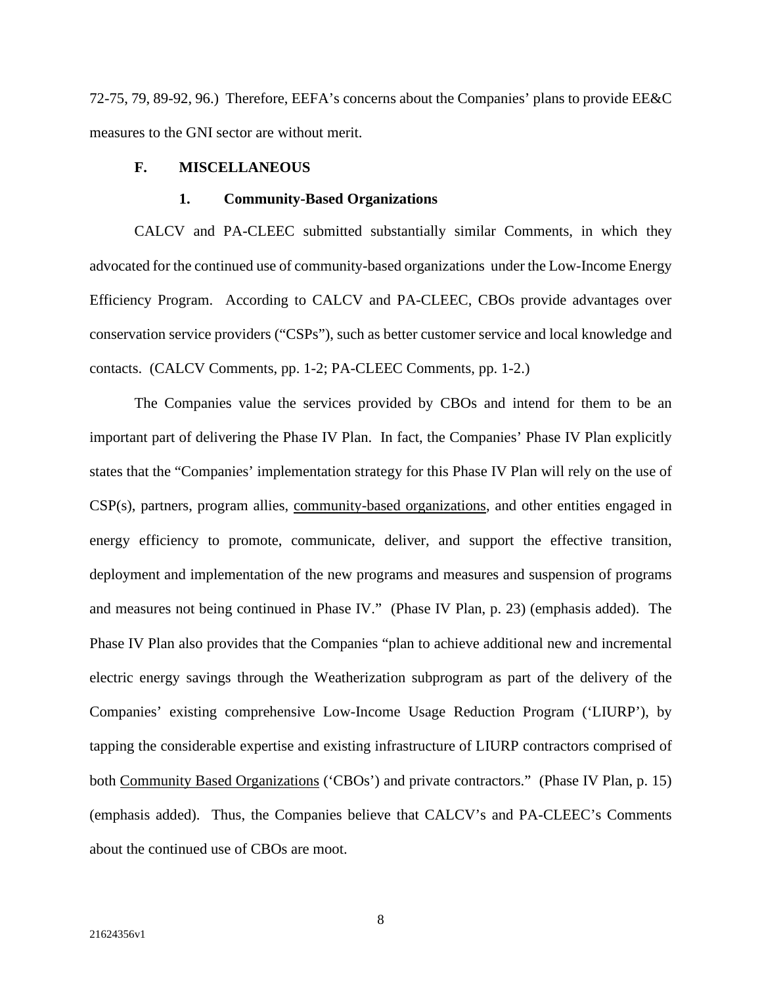72-75, 79, 89-92, 96.) Therefore, EEFA's concerns about the Companies' plans to provide EE&C measures to the GNI sector are without merit.

## **F. MISCELLANEOUS**

#### **1. Community-Based Organizations**

CALCV and PA-CLEEC submitted substantially similar Comments, in which they advocated for the continued use of community-based organizations under the Low-Income Energy Efficiency Program. According to CALCV and PA-CLEEC, CBOs provide advantages over conservation service providers ("CSPs"), such as better customer service and local knowledge and contacts. (CALCV Comments, pp. 1-2; PA-CLEEC Comments, pp. 1-2.)

The Companies value the services provided by CBOs and intend for them to be an important part of delivering the Phase IV Plan. In fact, the Companies' Phase IV Plan explicitly states that the "Companies' implementation strategy for this Phase IV Plan will rely on the use of CSP(s), partners, program allies, community-based organizations, and other entities engaged in energy efficiency to promote, communicate, deliver, and support the effective transition, deployment and implementation of the new programs and measures and suspension of programs and measures not being continued in Phase IV." (Phase IV Plan, p. 23) (emphasis added). The Phase IV Plan also provides that the Companies "plan to achieve additional new and incremental electric energy savings through the Weatherization subprogram as part of the delivery of the Companies' existing comprehensive Low-Income Usage Reduction Program ('LIURP'), by tapping the considerable expertise and existing infrastructure of LIURP contractors comprised of both Community Based Organizations ('CBOs') and private contractors." (Phase IV Plan, p. 15) (emphasis added). Thus, the Companies believe that CALCV's and PA-CLEEC's Comments about the continued use of CBOs are moot.

8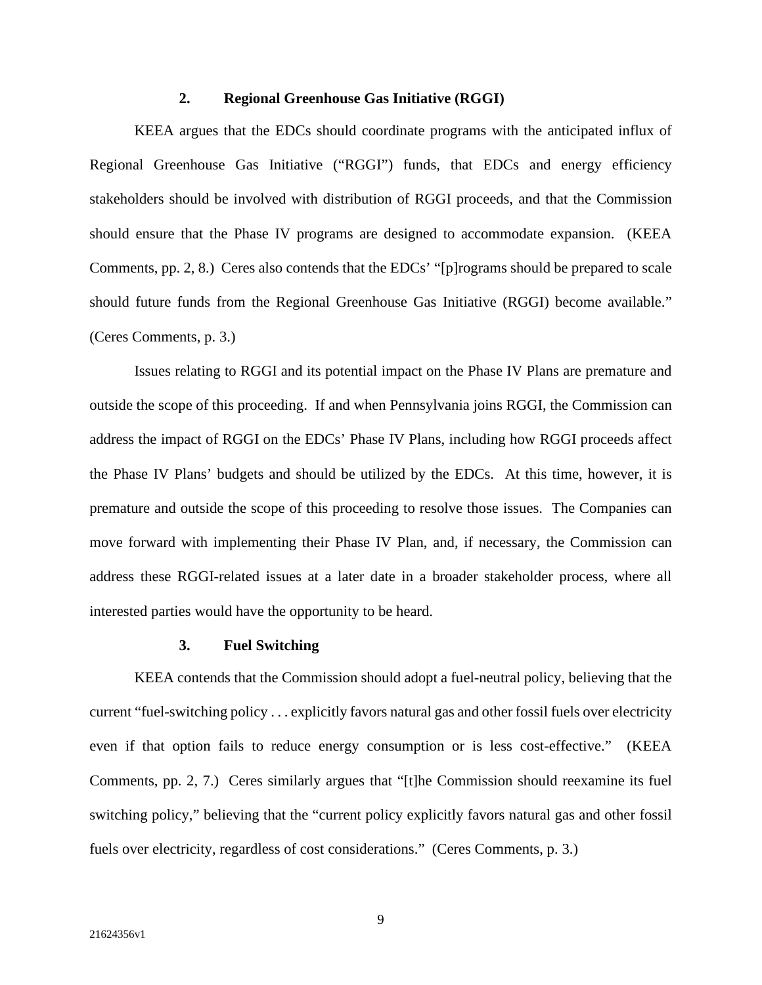## **2. Regional Greenhouse Gas Initiative (RGGI)**

KEEA argues that the EDCs should coordinate programs with the anticipated influx of Regional Greenhouse Gas Initiative ("RGGI") funds, that EDCs and energy efficiency stakeholders should be involved with distribution of RGGI proceeds, and that the Commission should ensure that the Phase IV programs are designed to accommodate expansion. (KEEA Comments, pp. 2, 8.) Ceres also contends that the EDCs' "[p]rograms should be prepared to scale should future funds from the Regional Greenhouse Gas Initiative (RGGI) become available." (Ceres Comments, p. 3.)

Issues relating to RGGI and its potential impact on the Phase IV Plans are premature and outside the scope of this proceeding. If and when Pennsylvania joins RGGI, the Commission can address the impact of RGGI on the EDCs' Phase IV Plans, including how RGGI proceeds affect the Phase IV Plans' budgets and should be utilized by the EDCs. At this time, however, it is premature and outside the scope of this proceeding to resolve those issues. The Companies can move forward with implementing their Phase IV Plan, and, if necessary, the Commission can address these RGGI-related issues at a later date in a broader stakeholder process, where all interested parties would have the opportunity to be heard.

## **3. Fuel Switching**

KEEA contends that the Commission should adopt a fuel-neutral policy, believing that the current "fuel-switching policy . . . explicitly favors natural gas and other fossil fuels over electricity even if that option fails to reduce energy consumption or is less cost-effective." (KEEA Comments, pp. 2, 7.) Ceres similarly argues that "[t]he Commission should reexamine its fuel switching policy," believing that the "current policy explicitly favors natural gas and other fossil fuels over electricity, regardless of cost considerations." (Ceres Comments, p. 3.)

9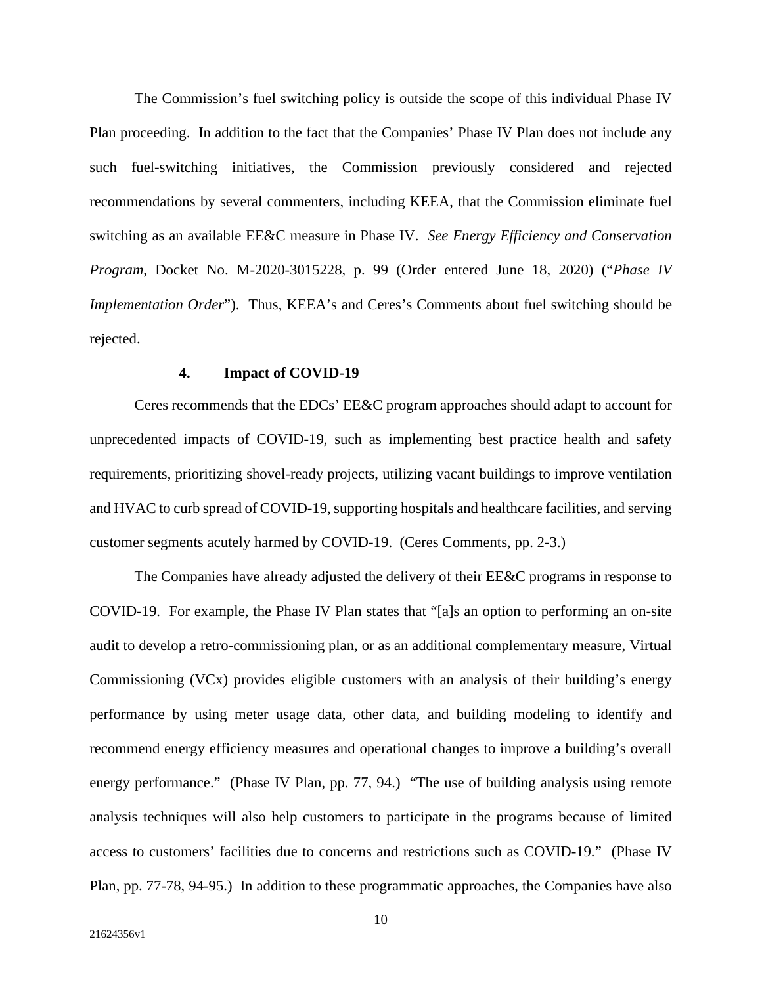The Commission's fuel switching policy is outside the scope of this individual Phase IV Plan proceeding. In addition to the fact that the Companies' Phase IV Plan does not include any such fuel-switching initiatives, the Commission previously considered and rejected recommendations by several commenters, including KEEA, that the Commission eliminate fuel switching as an available EE&C measure in Phase IV. *See Energy Efficiency and Conservation Program*, Docket No. M-2020-3015228, p. 99 (Order entered June 18, 2020) ("*Phase IV Implementation Order*"). Thus, KEEA's and Ceres's Comments about fuel switching should be rejected.

## **4. Impact of COVID-19**

Ceres recommends that the EDCs' EE&C program approaches should adapt to account for unprecedented impacts of COVID-19, such as implementing best practice health and safety requirements, prioritizing shovel-ready projects, utilizing vacant buildings to improve ventilation and HVAC to curb spread of COVID-19, supporting hospitals and healthcare facilities, and serving customer segments acutely harmed by COVID-19. (Ceres Comments, pp. 2-3.)

The Companies have already adjusted the delivery of their EE&C programs in response to COVID-19. For example, the Phase IV Plan states that "[a]s an option to performing an on-site audit to develop a retro-commissioning plan, or as an additional complementary measure, Virtual Commissioning (VCx) provides eligible customers with an analysis of their building's energy performance by using meter usage data, other data, and building modeling to identify and recommend energy efficiency measures and operational changes to improve a building's overall energy performance." (Phase IV Plan, pp. 77, 94.) "The use of building analysis using remote analysis techniques will also help customers to participate in the programs because of limited access to customers' facilities due to concerns and restrictions such as COVID-19." (Phase IV Plan, pp. 77-78, 94-95.) In addition to these programmatic approaches, the Companies have also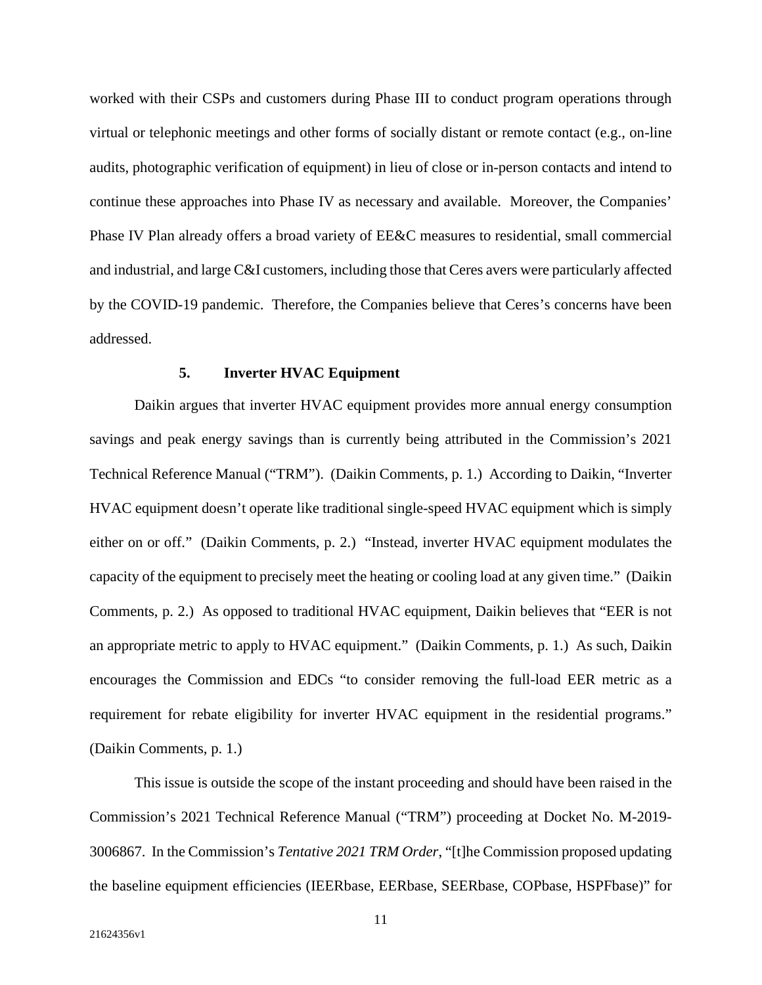worked with their CSPs and customers during Phase III to conduct program operations through virtual or telephonic meetings and other forms of socially distant or remote contact (e.g., on-line audits, photographic verification of equipment) in lieu of close or in-person contacts and intend to continue these approaches into Phase IV as necessary and available. Moreover, the Companies' Phase IV Plan already offers a broad variety of EE&C measures to residential, small commercial and industrial, and large C&I customers, including those that Ceres avers were particularly affected by the COVID-19 pandemic. Therefore, the Companies believe that Ceres's concerns have been addressed.

#### **5. Inverter HVAC Equipment**

Daikin argues that inverter HVAC equipment provides more annual energy consumption savings and peak energy savings than is currently being attributed in the Commission's 2021 Technical Reference Manual ("TRM"). (Daikin Comments, p. 1.) According to Daikin, "Inverter HVAC equipment doesn't operate like traditional single-speed HVAC equipment which is simply either on or off." (Daikin Comments, p. 2.) "Instead, inverter HVAC equipment modulates the capacity of the equipment to precisely meet the heating or cooling load at any given time." (Daikin Comments, p. 2.) As opposed to traditional HVAC equipment, Daikin believes that "EER is not an appropriate metric to apply to HVAC equipment." (Daikin Comments, p. 1.) As such, Daikin encourages the Commission and EDCs "to consider removing the full-load EER metric as a requirement for rebate eligibility for inverter HVAC equipment in the residential programs." (Daikin Comments, p. 1.)

This issue is outside the scope of the instant proceeding and should have been raised in the Commission's 2021 Technical Reference Manual ("TRM") proceeding at Docket No. M-2019- 3006867. In the Commission's *Tentative 2021 TRM Order*, "[t]he Commission proposed updating the baseline equipment efficiencies (IEERbase, EERbase, SEERbase, COPbase, HSPFbase)" for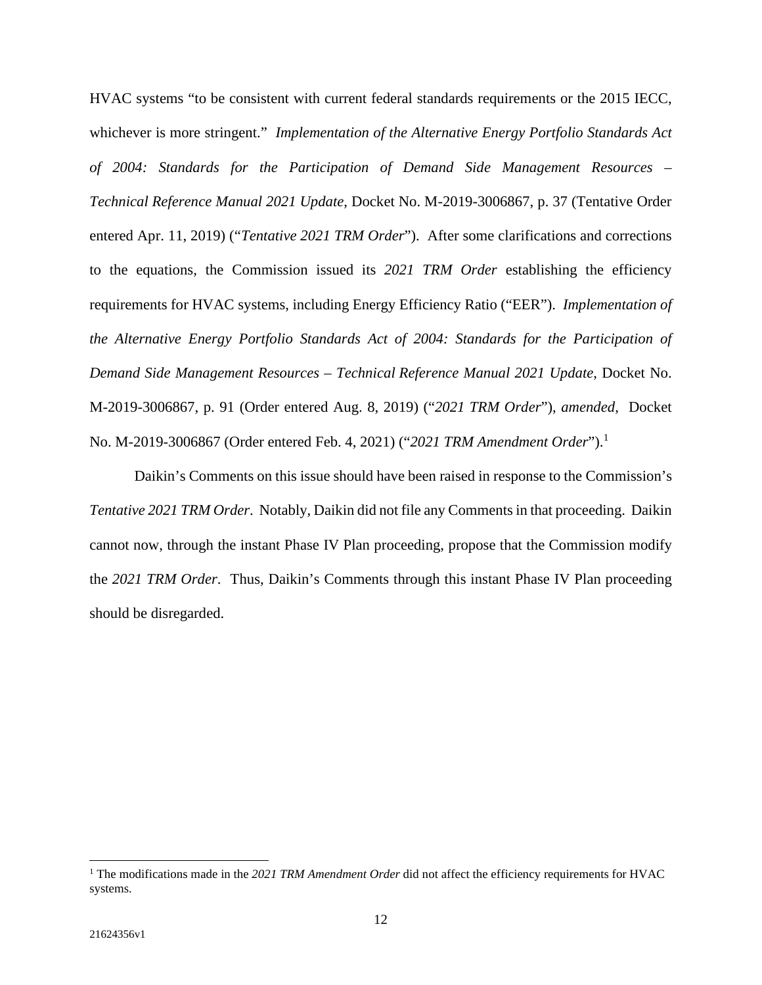HVAC systems "to be consistent with current federal standards requirements or the 2015 IECC, whichever is more stringent." *Implementation of the Alternative Energy Portfolio Standards Act of 2004: Standards for the Participation of Demand Side Management Resources – Technical Reference Manual 2021 Update*, Docket No. M-2019-3006867, p. 37 (Tentative Order entered Apr. 11, 2019) ("*Tentative 2021 TRM Order*"). After some clarifications and corrections to the equations, the Commission issued its *2021 TRM Order* establishing the efficiency requirements for HVAC systems, including Energy Efficiency Ratio ("EER"). *Implementation of the Alternative Energy Portfolio Standards Act of 2004: Standards for the Participation of Demand Side Management Resources – Technical Reference Manual 2021 Update*, Docket No. M-2019-3006867, p. 91 (Order entered Aug. 8, 2019) ("*2021 TRM Order*"), *amended*, Docket No. M-2019-3006867 (Order entered Feb. 4, 2021) ("*2021 TRM Amendment Order*").<sup>1</sup>

Daikin's Comments on this issue should have been raised in response to the Commission's *Tentative 2021 TRM Order*. Notably, Daikin did not file any Comments in that proceeding. Daikin cannot now, through the instant Phase IV Plan proceeding, propose that the Commission modify the *2021 TRM Order*. Thus, Daikin's Comments through this instant Phase IV Plan proceeding should be disregarded.

<sup>&</sup>lt;sup>1</sup> The modifications made in the 2021 TRM Amendment Order did not affect the efficiency requirements for HVAC systems.